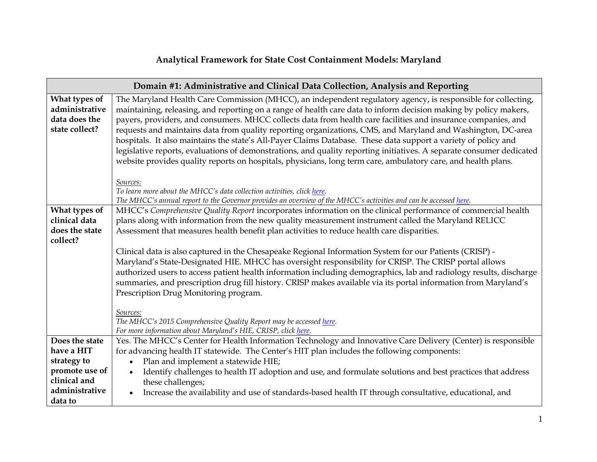## **Analytical Framework for State Cost Containment Models: Maryland**

| Domain #1: Administrative and Clinical Data Collection, Analysis and Reporting |                                                                                                                                                                                                                                                                                                                                                                                                                                                                                                                                                                                                                                                                                                                                                                                                                             |  |  |  |
|--------------------------------------------------------------------------------|-----------------------------------------------------------------------------------------------------------------------------------------------------------------------------------------------------------------------------------------------------------------------------------------------------------------------------------------------------------------------------------------------------------------------------------------------------------------------------------------------------------------------------------------------------------------------------------------------------------------------------------------------------------------------------------------------------------------------------------------------------------------------------------------------------------------------------|--|--|--|
| What types of<br>administrative<br>data does the<br>state collect?             | The Maryland Health Care Commission (MHCC), an independent regulatory agency, is responsible for collecting,<br>maintaining, releasing, and reporting on a range of health care data to inform decision making by policy makers,<br>payers, providers, and consumers. MHCC collects data from health care facilities and insurance companies, and<br>requests and maintains data from quality reporting organizations, CMS, and Maryland and Washington, DC-area<br>hospitals. It also maintains the state's All-Payer Claims Database. These data support a variety of policy and<br>legislative reports, evaluations of demonstrations, and quality reporting initiatives. A separate consumer dedicated<br>website provides quality reports on hospitals, physicians, long term care, ambulatory care, and health plans. |  |  |  |
|                                                                                | Sources:<br>To learn more about the MHCC's data collection activities, click here.<br>The MHCC's annual report to the Governor provides an overview of the MHCC's activities and can be accessed here.                                                                                                                                                                                                                                                                                                                                                                                                                                                                                                                                                                                                                      |  |  |  |
| What types of<br>clinical data<br>does the state<br>collect?                   | MHCC's Comprehensive Quality Report incorporates information on the clinical performance of commercial health<br>plans along with information from the new quality measurement instrument called the Maryland RELICC<br>Assessment that measures health benefit plan activities to reduce health care disparities.                                                                                                                                                                                                                                                                                                                                                                                                                                                                                                          |  |  |  |
|                                                                                | Clinical data is also captured in the Chesapeake Regional Information System for our Patients (CRISP) -<br>Maryland's State-Designated HIE. MHCC has oversight responsibility for CRISP. The CRISP portal allows<br>authorized users to access patient health information including demographics, lab and radiology results, discharge<br>summaries, and prescription drug fill history. CRISP makes available via its portal information from Maryland's<br>Prescription Drug Monitoring program.                                                                                                                                                                                                                                                                                                                          |  |  |  |
|                                                                                | Sources:<br>The MHCC's 2015 Comprehensive Quality Report may be accessed here.<br>For more information about Maryland's HIE, CRISP, click here.                                                                                                                                                                                                                                                                                                                                                                                                                                                                                                                                                                                                                                                                             |  |  |  |
| Does the state                                                                 | Yes. The MHCC's Center for Health Information Technology and Innovative Care Delivery (Center) is responsible                                                                                                                                                                                                                                                                                                                                                                                                                                                                                                                                                                                                                                                                                                               |  |  |  |
| have a HIT                                                                     | for advancing health IT statewide. The Center's HIT plan includes the following components:                                                                                                                                                                                                                                                                                                                                                                                                                                                                                                                                                                                                                                                                                                                                 |  |  |  |
| strategy to<br>promote use of                                                  | Plan and implement a statewide HIE;                                                                                                                                                                                                                                                                                                                                                                                                                                                                                                                                                                                                                                                                                                                                                                                         |  |  |  |
| clinical and                                                                   | Identify challenges to health IT adoption and use, and formulate solutions and best practices that address<br>these challenges;                                                                                                                                                                                                                                                                                                                                                                                                                                                                                                                                                                                                                                                                                             |  |  |  |
| administrative                                                                 | Increase the availability and use of standards-based health IT through consultative, educational, and<br>$\bullet$                                                                                                                                                                                                                                                                                                                                                                                                                                                                                                                                                                                                                                                                                                          |  |  |  |
| data to                                                                        |                                                                                                                                                                                                                                                                                                                                                                                                                                                                                                                                                                                                                                                                                                                                                                                                                             |  |  |  |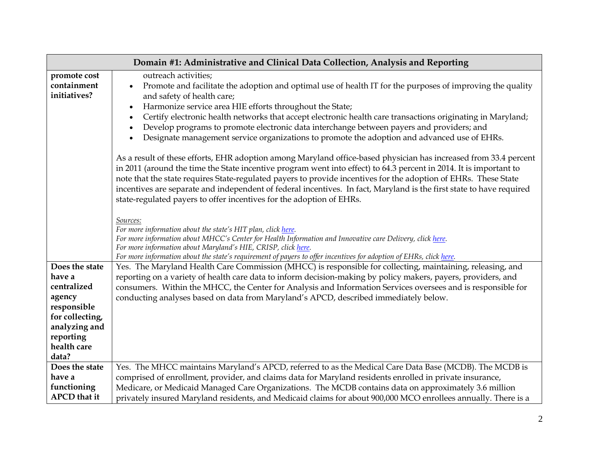| Domain #1: Administrative and Clinical Data Collection, Analysis and Reporting                                                            |                                                                                                                                                                                                                                                                                                                                                                                                                                                                                                                                                                                                                                                                                                                                                                                                              |  |
|-------------------------------------------------------------------------------------------------------------------------------------------|--------------------------------------------------------------------------------------------------------------------------------------------------------------------------------------------------------------------------------------------------------------------------------------------------------------------------------------------------------------------------------------------------------------------------------------------------------------------------------------------------------------------------------------------------------------------------------------------------------------------------------------------------------------------------------------------------------------------------------------------------------------------------------------------------------------|--|
| promote cost<br>containment<br>initiatives?                                                                                               | outreach activities;<br>Promote and facilitate the adoption and optimal use of health IT for the purposes of improving the quality<br>$\bullet$<br>and safety of health care;<br>Harmonize service area HIE efforts throughout the State;<br>$\bullet$<br>Certify electronic health networks that accept electronic health care transactions originating in Maryland;<br>Develop programs to promote electronic data interchange between payers and providers; and<br>Designate management service organizations to promote the adoption and advanced use of EHRs.<br>As a result of these efforts, EHR adoption among Maryland office-based physician has increased from 33.4 percent<br>in 2011 (around the time the State incentive program went into effect) to 64.3 percent in 2014. It is important to |  |
|                                                                                                                                           | note that the state requires State-regulated payers to provide incentives for the adoption of EHRs. These State<br>incentives are separate and independent of federal incentives. In fact, Maryland is the first state to have required<br>state-regulated payers to offer incentives for the adoption of EHRs.<br>Sources:<br>For more information about the state's HIT plan, click here.<br>For more information about MHCC's Center for Health Information and Innovative care Delivery, click here.<br>For more information about Maryland's HIE, CRISP, click here.<br>For more information about the state's requirement of payers to offer incentives for adoption of EHRs, click here.                                                                                                              |  |
| Does the state<br>have a<br>centralized<br>agency<br>responsible<br>for collecting,<br>analyzing and<br>reporting<br>health care<br>data? | Yes. The Maryland Health Care Commission (MHCC) is responsible for collecting, maintaining, releasing, and<br>reporting on a variety of health care data to inform decision-making by policy makers, payers, providers, and<br>consumers. Within the MHCC, the Center for Analysis and Information Services oversees and is responsible for<br>conducting analyses based on data from Maryland's APCD, described immediately below.                                                                                                                                                                                                                                                                                                                                                                          |  |
| Does the state<br>have a<br>functioning<br><b>APCD</b> that it                                                                            | Yes. The MHCC maintains Maryland's APCD, referred to as the Medical Care Data Base (MCDB). The MCDB is<br>comprised of enrollment, provider, and claims data for Maryland residents enrolled in private insurance,<br>Medicare, or Medicaid Managed Care Organizations. The MCDB contains data on approximately 3.6 million<br>privately insured Maryland residents, and Medicaid claims for about 900,000 MCO enrollees annually. There is a                                                                                                                                                                                                                                                                                                                                                                |  |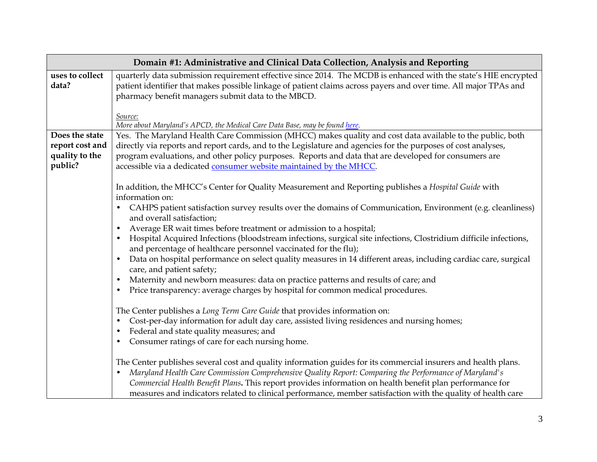| Domain #1: Administrative and Clinical Data Collection, Analysis and Reporting |                                                                                                                                                                                                                                                                                                                                                                                                                                                                                                                                                                                                                                                                                                                                                                                                                                                                                                                                                                                                                                                                                                                                                                                                                                                                                                                                                                                                                                                                                                                                                                                                                     |  |  |  |  |  |
|--------------------------------------------------------------------------------|---------------------------------------------------------------------------------------------------------------------------------------------------------------------------------------------------------------------------------------------------------------------------------------------------------------------------------------------------------------------------------------------------------------------------------------------------------------------------------------------------------------------------------------------------------------------------------------------------------------------------------------------------------------------------------------------------------------------------------------------------------------------------------------------------------------------------------------------------------------------------------------------------------------------------------------------------------------------------------------------------------------------------------------------------------------------------------------------------------------------------------------------------------------------------------------------------------------------------------------------------------------------------------------------------------------------------------------------------------------------------------------------------------------------------------------------------------------------------------------------------------------------------------------------------------------------------------------------------------------------|--|--|--|--|--|
| uses to collect<br>data?                                                       | quarterly data submission requirement effective since 2014. The MCDB is enhanced with the state's HIE encrypted<br>patient identifier that makes possible linkage of patient claims across payers and over time. All major TPAs and<br>pharmacy benefit managers submit data to the MBCD.                                                                                                                                                                                                                                                                                                                                                                                                                                                                                                                                                                                                                                                                                                                                                                                                                                                                                                                                                                                                                                                                                                                                                                                                                                                                                                                           |  |  |  |  |  |
|                                                                                | Source:<br>More about Maryland's APCD, the Medical Care Data Base, may be found here.                                                                                                                                                                                                                                                                                                                                                                                                                                                                                                                                                                                                                                                                                                                                                                                                                                                                                                                                                                                                                                                                                                                                                                                                                                                                                                                                                                                                                                                                                                                               |  |  |  |  |  |
| Does the state<br>report cost and<br>quality to the<br>public?                 | Yes. The Maryland Health Care Commission (MHCC) makes quality and cost data available to the public, both<br>directly via reports and report cards, and to the Legislature and agencies for the purposes of cost analyses,<br>program evaluations, and other policy purposes. Reports and data that are developed for consumers are<br>accessible via a dedicated consumer website maintained by the MHCC.                                                                                                                                                                                                                                                                                                                                                                                                                                                                                                                                                                                                                                                                                                                                                                                                                                                                                                                                                                                                                                                                                                                                                                                                          |  |  |  |  |  |
|                                                                                | In addition, the MHCC's Center for Quality Measurement and Reporting publishes a Hospital Guide with<br>information on:<br>CAHPS patient satisfaction survey results over the domains of Communication, Environment (e.g. cleanliness)<br>and overall satisfaction;<br>Average ER wait times before treatment or admission to a hospital;<br>Hospital Acquired Infections (bloodstream infections, surgical site infections, Clostridium difficile infections,<br>and percentage of healthcare personnel vaccinated for the flu);<br>Data on hospital performance on select quality measures in 14 different areas, including cardiac care, surgical<br>care, and patient safety;<br>Maternity and newborn measures: data on practice patterns and results of care; and<br>$\bullet$<br>Price transparency: average charges by hospital for common medical procedures.<br>$\bullet$<br>The Center publishes a Long Term Care Guide that provides information on:<br>Cost-per-day information for adult day care, assisted living residences and nursing homes;<br>Federal and state quality measures; and<br>Consumer ratings of care for each nursing home.<br>The Center publishes several cost and quality information guides for its commercial insurers and health plans.<br>Maryland Health Care Commission Comprehensive Quality Report: Comparing the Performance of Maryland's<br>Commercial Health Benefit Plans. This report provides information on health benefit plan performance for<br>measures and indicators related to clinical performance, member satisfaction with the quality of health care |  |  |  |  |  |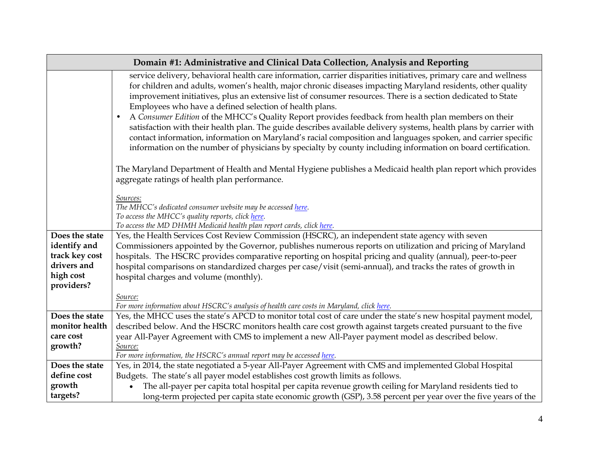| Domain #1: Administrative and Clinical Data Collection, Analysis and Reporting             |                                                                                                                                                                                                                                                                                                                                                                                                                                                                                                                                                                                                                                                                                                                                                                                                                                                                                     |  |
|--------------------------------------------------------------------------------------------|-------------------------------------------------------------------------------------------------------------------------------------------------------------------------------------------------------------------------------------------------------------------------------------------------------------------------------------------------------------------------------------------------------------------------------------------------------------------------------------------------------------------------------------------------------------------------------------------------------------------------------------------------------------------------------------------------------------------------------------------------------------------------------------------------------------------------------------------------------------------------------------|--|
|                                                                                            | service delivery, behavioral health care information, carrier disparities initiatives, primary care and wellness<br>for children and adults, women's health, major chronic diseases impacting Maryland residents, other quality<br>improvement initiatives, plus an extensive list of consumer resources. There is a section dedicated to State<br>Employees who have a defined selection of health plans.<br>A Consumer Edition of the MHCC's Quality Report provides feedback from health plan members on their<br>$\bullet$<br>satisfaction with their health plan. The guide describes available delivery systems, health plans by carrier with<br>contact information, information on Maryland's racial composition and languages spoken, and carrier specific<br>information on the number of physicians by specialty by county including information on board certification. |  |
|                                                                                            | The Maryland Department of Health and Mental Hygiene publishes a Medicaid health plan report which provides<br>aggregate ratings of health plan performance.                                                                                                                                                                                                                                                                                                                                                                                                                                                                                                                                                                                                                                                                                                                        |  |
|                                                                                            | Sources:<br>The MHCC's dedicated consumer website may be accessed here.<br>To access the MHCC's quality reports, click here.<br>To access the MD DHMH Medicaid health plan report cards, click here.                                                                                                                                                                                                                                                                                                                                                                                                                                                                                                                                                                                                                                                                                |  |
| Does the state<br>identify and<br>track key cost<br>drivers and<br>high cost<br>providers? | Yes, the Health Services Cost Review Commission (HSCRC), an independent state agency with seven<br>Commissioners appointed by the Governor, publishes numerous reports on utilization and pricing of Maryland<br>hospitals. The HSCRC provides comparative reporting on hospital pricing and quality (annual), peer-to-peer<br>hospital comparisons on standardized charges per case/visit (semi-annual), and tracks the rates of growth in<br>hospital charges and volume (monthly).                                                                                                                                                                                                                                                                                                                                                                                               |  |
|                                                                                            | Source:<br>For more information about HSCRC's analysis of health care costs in Maryland, click here.                                                                                                                                                                                                                                                                                                                                                                                                                                                                                                                                                                                                                                                                                                                                                                                |  |
| Does the state<br>monitor health                                                           | Yes, the MHCC uses the state's APCD to monitor total cost of care under the state's new hospital payment model,                                                                                                                                                                                                                                                                                                                                                                                                                                                                                                                                                                                                                                                                                                                                                                     |  |
| care cost<br>growth?                                                                       | described below. And the HSCRC monitors health care cost growth against targets created pursuant to the five<br>year All-Payer Agreement with CMS to implement a new All-Payer payment model as described below.<br>Source:<br>For more information, the HSCRC's annual report may be accessed here.                                                                                                                                                                                                                                                                                                                                                                                                                                                                                                                                                                                |  |
| Does the state                                                                             | Yes, in 2014, the state negotiated a 5-year All-Payer Agreement with CMS and implemented Global Hospital                                                                                                                                                                                                                                                                                                                                                                                                                                                                                                                                                                                                                                                                                                                                                                            |  |
| define cost                                                                                | Budgets. The state's all payer model establishes cost growth limits as follows.                                                                                                                                                                                                                                                                                                                                                                                                                                                                                                                                                                                                                                                                                                                                                                                                     |  |
| growth<br>targets?                                                                         | The all-payer per capita total hospital per capita revenue growth ceiling for Maryland residents tied to                                                                                                                                                                                                                                                                                                                                                                                                                                                                                                                                                                                                                                                                                                                                                                            |  |
|                                                                                            | long-term projected per capita state economic growth (GSP), 3.58 percent per year over the five years of the                                                                                                                                                                                                                                                                                                                                                                                                                                                                                                                                                                                                                                                                                                                                                                        |  |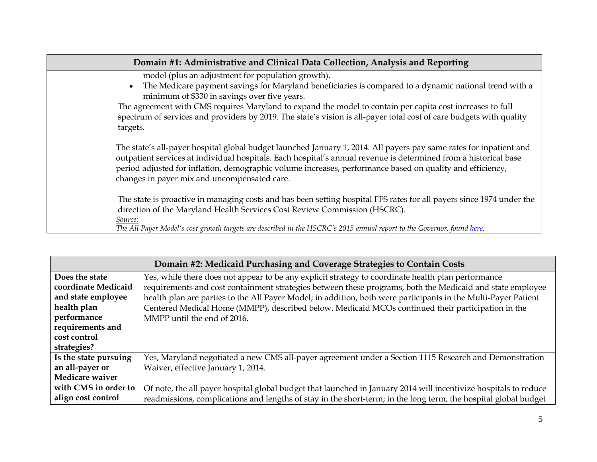| Domain #1: Administrative and Clinical Data Collection, Analysis and Reporting |                                                                                                                                                                                                                                                                                                                                                                                                                                                                          |  |
|--------------------------------------------------------------------------------|--------------------------------------------------------------------------------------------------------------------------------------------------------------------------------------------------------------------------------------------------------------------------------------------------------------------------------------------------------------------------------------------------------------------------------------------------------------------------|--|
|                                                                                | model (plus an adjustment for population growth).<br>The Medicare payment savings for Maryland beneficiaries is compared to a dynamic national trend with a<br>$\bullet$<br>minimum of \$330 in savings over five years.<br>The agreement with CMS requires Maryland to expand the model to contain per capita cost increases to full<br>spectrum of services and providers by 2019. The state's vision is all-payer total cost of care budgets with quality<br>targets. |  |
|                                                                                | The state's all-payer hospital global budget launched January 1, 2014. All payers pay same rates for inpatient and<br>outpatient services at individual hospitals. Each hospital's annual revenue is determined from a historical base<br>period adjusted for inflation, demographic volume increases, performance based on quality and efficiency,<br>changes in payer mix and uncompensated care.                                                                      |  |
|                                                                                | The state is proactive in managing costs and has been setting hospital FFS rates for all payers since 1974 under the<br>direction of the Maryland Health Services Cost Review Commission (HSCRC).<br>Source:<br>The All Payer Model's cost growth targets are described in the HSCRC's 2015 annual report to the Governor, found here.                                                                                                                                   |  |

| Domain #2: Medicaid Purchasing and Coverage Strategies to Contain Costs |                                                                                                                  |  |  |
|-------------------------------------------------------------------------|------------------------------------------------------------------------------------------------------------------|--|--|
| Does the state                                                          | Yes, while there does not appear to be any explicit strategy to coordinate health plan performance               |  |  |
| coordinate Medicaid                                                     | requirements and cost containment strategies between these programs, both the Medicaid and state employee        |  |  |
| and state employee                                                      | health plan are parties to the All Payer Model; in addition, both were participants in the Multi-Payer Patient   |  |  |
| health plan                                                             | Centered Medical Home (MMPP), described below. Medicaid MCOs continued their participation in the                |  |  |
| performance                                                             | MMPP until the end of 2016.                                                                                      |  |  |
| requirements and                                                        |                                                                                                                  |  |  |
| cost control                                                            |                                                                                                                  |  |  |
| strategies?                                                             |                                                                                                                  |  |  |
| Is the state pursuing                                                   | Yes, Maryland negotiated a new CMS all-payer agreement under a Section 1115 Research and Demonstration           |  |  |
| an all-payer or                                                         | Waiver, effective January 1, 2014.                                                                               |  |  |
| <b>Medicare waiver</b>                                                  |                                                                                                                  |  |  |
| with CMS in order to                                                    | Of note, the all payer hospital global budget that launched in January 2014 will incentivize hospitals to reduce |  |  |
| align cost control                                                      | readmissions, complications and lengths of stay in the short-term; in the long term, the hospital global budget  |  |  |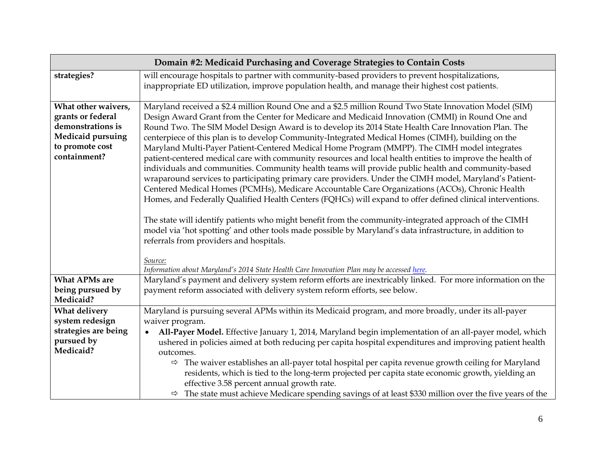| Domain #2: Medicaid Purchasing and Coverage Strategies to Contain Costs                                         |                                                                                                                     |  |  |  |  |
|-----------------------------------------------------------------------------------------------------------------|---------------------------------------------------------------------------------------------------------------------|--|--|--|--|
| strategies?                                                                                                     | will encourage hospitals to partner with community-based providers to prevent hospitalizations,                     |  |  |  |  |
|                                                                                                                 | inappropriate ED utilization, improve population health, and manage their highest cost patients.                    |  |  |  |  |
|                                                                                                                 |                                                                                                                     |  |  |  |  |
| What other waivers,                                                                                             | Maryland received a \$2.4 million Round One and a \$2.5 million Round Two State Innovation Model (SIM)              |  |  |  |  |
| grants or federal                                                                                               | Design Award Grant from the Center for Medicare and Medicaid Innovation (CMMI) in Round One and                     |  |  |  |  |
| demonstrations is                                                                                               | Round Two. The SIM Model Design Award is to develop its 2014 State Health Care Innovation Plan. The                 |  |  |  |  |
| Medicaid pursuing                                                                                               | centerpiece of this plan is to develop Community-Integrated Medical Homes (CIMH), building on the                   |  |  |  |  |
| to promote cost                                                                                                 | Maryland Multi-Payer Patient-Centered Medical Home Program (MMPP). The CIMH model integrates                        |  |  |  |  |
| containment?                                                                                                    | patient-centered medical care with community resources and local health entities to improve the health of           |  |  |  |  |
|                                                                                                                 | individuals and communities. Community health teams will provide public health and community-based                  |  |  |  |  |
|                                                                                                                 | wraparound services to participating primary care providers. Under the CIMH model, Maryland's Patient-              |  |  |  |  |
|                                                                                                                 | Centered Medical Homes (PCMHs), Medicare Accountable Care Organizations (ACOs), Chronic Health                      |  |  |  |  |
|                                                                                                                 | Homes, and Federally Qualified Health Centers (FQHCs) will expand to offer defined clinical interventions.          |  |  |  |  |
|                                                                                                                 |                                                                                                                     |  |  |  |  |
|                                                                                                                 | The state will identify patients who might benefit from the community-integrated approach of the CIMH               |  |  |  |  |
|                                                                                                                 | model via 'hot spotting' and other tools made possible by Maryland's data infrastructure, in addition to            |  |  |  |  |
|                                                                                                                 | referrals from providers and hospitals.                                                                             |  |  |  |  |
|                                                                                                                 | Source:                                                                                                             |  |  |  |  |
|                                                                                                                 | Information about Maryland's 2014 State Health Care Innovation Plan may be accessed here.                           |  |  |  |  |
| <b>What APMs are</b>                                                                                            | Maryland's payment and delivery system reform efforts are inextricably linked. For more information on the          |  |  |  |  |
| being pursued by<br>payment reform associated with delivery system reform efforts, see below.                   |                                                                                                                     |  |  |  |  |
| Medicaid?                                                                                                       |                                                                                                                     |  |  |  |  |
| What delivery                                                                                                   | Maryland is pursuing several APMs within its Medicaid program, and more broadly, under its all-payer                |  |  |  |  |
| system redesign                                                                                                 | waiver program.                                                                                                     |  |  |  |  |
| strategies are being                                                                                            | All-Payer Model. Effective January 1, 2014, Maryland begin implementation of an all-payer model, which              |  |  |  |  |
| pursued by                                                                                                      | ushered in policies aimed at both reducing per capita hospital expenditures and improving patient health            |  |  |  |  |
| Medicaid?                                                                                                       | outcomes.                                                                                                           |  |  |  |  |
| $\Rightarrow$ The waiver establishes an all-payer total hospital per capita revenue growth ceiling for Maryland |                                                                                                                     |  |  |  |  |
|                                                                                                                 | residents, which is tied to the long-term projected per capita state economic growth, yielding an                   |  |  |  |  |
|                                                                                                                 | effective 3.58 percent annual growth rate.                                                                          |  |  |  |  |
|                                                                                                                 | $\Rightarrow$ The state must achieve Medicare spending savings of at least \$330 million over the five years of the |  |  |  |  |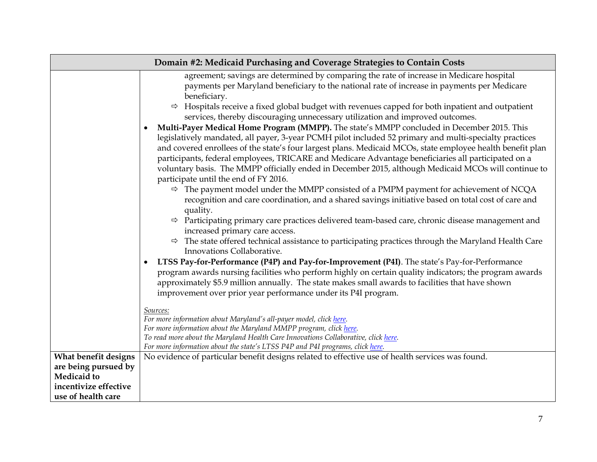| Domain #2: Medicaid Purchasing and Coverage Strategies to Contain Costs |                                                                                                                                                                                                                                                                                                                                                                                                                                                                                                                                                                                                                                                                                                                                                                                                                                                                                                                                                                                                                                                                                                                                                                                                                                                                                                                                                                                                                                                                                                                                                                                                                                                                                                                                                                                                                                                                                                                                                                                                                                                                                                                                                                                                                                   |  |
|-------------------------------------------------------------------------|-----------------------------------------------------------------------------------------------------------------------------------------------------------------------------------------------------------------------------------------------------------------------------------------------------------------------------------------------------------------------------------------------------------------------------------------------------------------------------------------------------------------------------------------------------------------------------------------------------------------------------------------------------------------------------------------------------------------------------------------------------------------------------------------------------------------------------------------------------------------------------------------------------------------------------------------------------------------------------------------------------------------------------------------------------------------------------------------------------------------------------------------------------------------------------------------------------------------------------------------------------------------------------------------------------------------------------------------------------------------------------------------------------------------------------------------------------------------------------------------------------------------------------------------------------------------------------------------------------------------------------------------------------------------------------------------------------------------------------------------------------------------------------------------------------------------------------------------------------------------------------------------------------------------------------------------------------------------------------------------------------------------------------------------------------------------------------------------------------------------------------------------------------------------------------------------------------------------------------------|--|
|                                                                         | agreement; savings are determined by comparing the rate of increase in Medicare hospital<br>payments per Maryland beneficiary to the national rate of increase in payments per Medicare<br>beneficiary.<br>$\Rightarrow$ Hospitals receive a fixed global budget with revenues capped for both inpatient and outpatient<br>services, thereby discouraging unnecessary utilization and improved outcomes.<br>Multi-Payer Medical Home Program (MMPP). The state's MMPP concluded in December 2015. This<br>legislatively mandated, all payer, 3-year PCMH pilot included 52 primary and multi-specialty practices<br>and covered enrollees of the state's four largest plans. Medicaid MCOs, state employee health benefit plan<br>participants, federal employees, TRICARE and Medicare Advantage beneficiaries all participated on a<br>voluntary basis. The MMPP officially ended in December 2015, although Medicaid MCOs will continue to<br>participate until the end of FY 2016.<br>$\Rightarrow$ The payment model under the MMPP consisted of a PMPM payment for achievement of NCQA<br>recognition and care coordination, and a shared savings initiative based on total cost of care and<br>quality.<br>$\Rightarrow$ Participating primary care practices delivered team-based care, chronic disease management and<br>increased primary care access.<br>$\Rightarrow$ The state offered technical assistance to participating practices through the Maryland Health Care<br>Innovations Collaborative.<br>LTSS Pay-for-Performance (P4P) and Pay-for-Improvement (P4I). The state's Pay-for-Performance<br>program awards nursing facilities who perform highly on certain quality indicators; the program awards<br>approximately \$5.9 million annually. The state makes small awards to facilities that have shown<br>improvement over prior year performance under its P4I program.<br>Sources:<br>For more information about Maryland's all-payer model, click here.<br>For more information about the Maryland MMPP program, click here.<br>To read more about the Maryland Health Care Innovations Collaborative, click here.<br>For more information about the state's LTSS P4P and P4I programs, click here. |  |
| What benefit designs<br>are being pursued by                            | No evidence of particular benefit designs related to effective use of health services was found.                                                                                                                                                                                                                                                                                                                                                                                                                                                                                                                                                                                                                                                                                                                                                                                                                                                                                                                                                                                                                                                                                                                                                                                                                                                                                                                                                                                                                                                                                                                                                                                                                                                                                                                                                                                                                                                                                                                                                                                                                                                                                                                                  |  |
| <b>Medicaid</b> to                                                      |                                                                                                                                                                                                                                                                                                                                                                                                                                                                                                                                                                                                                                                                                                                                                                                                                                                                                                                                                                                                                                                                                                                                                                                                                                                                                                                                                                                                                                                                                                                                                                                                                                                                                                                                                                                                                                                                                                                                                                                                                                                                                                                                                                                                                                   |  |
| incentivize effective                                                   |                                                                                                                                                                                                                                                                                                                                                                                                                                                                                                                                                                                                                                                                                                                                                                                                                                                                                                                                                                                                                                                                                                                                                                                                                                                                                                                                                                                                                                                                                                                                                                                                                                                                                                                                                                                                                                                                                                                                                                                                                                                                                                                                                                                                                                   |  |
| use of health care                                                      |                                                                                                                                                                                                                                                                                                                                                                                                                                                                                                                                                                                                                                                                                                                                                                                                                                                                                                                                                                                                                                                                                                                                                                                                                                                                                                                                                                                                                                                                                                                                                                                                                                                                                                                                                                                                                                                                                                                                                                                                                                                                                                                                                                                                                                   |  |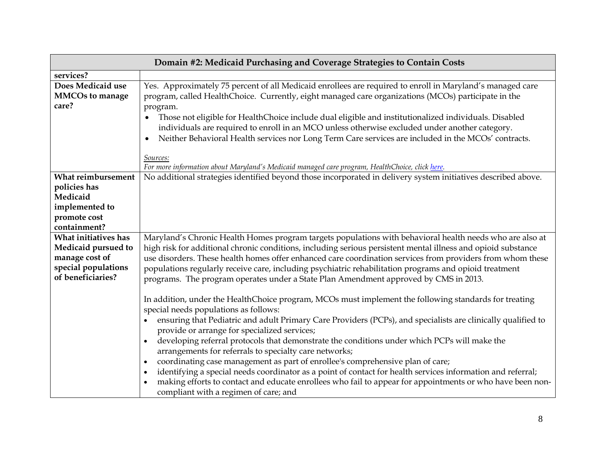| Domain #2: Medicaid Purchasing and Coverage Strategies to Contain Costs                                   |                                                                                                                                                                                                                                                                                                                                                                                                                                                                                                                                                                                                                                                                                                                                                                                                                                 |  |
|-----------------------------------------------------------------------------------------------------------|---------------------------------------------------------------------------------------------------------------------------------------------------------------------------------------------------------------------------------------------------------------------------------------------------------------------------------------------------------------------------------------------------------------------------------------------------------------------------------------------------------------------------------------------------------------------------------------------------------------------------------------------------------------------------------------------------------------------------------------------------------------------------------------------------------------------------------|--|
| services?                                                                                                 |                                                                                                                                                                                                                                                                                                                                                                                                                                                                                                                                                                                                                                                                                                                                                                                                                                 |  |
| Does Medicaid use<br><b>MMCOs to manage</b><br>care?                                                      | Yes. Approximately 75 percent of all Medicaid enrollees are required to enroll in Maryland's managed care<br>program, called HealthChoice. Currently, eight managed care organizations (MCOs) participate in the<br>program.<br>Those not eligible for HealthChoice include dual eligible and institutionalized individuals. Disabled<br>individuals are required to enroll in an MCO unless otherwise excluded under another category.<br>Neither Behavioral Health services nor Long Term Care services are included in the MCOs' contracts.<br>Sources:                                                                                                                                                                                                                                                                      |  |
|                                                                                                           | For more information about Maryland's Medicaid managed care program, HealthChoice, click here.                                                                                                                                                                                                                                                                                                                                                                                                                                                                                                                                                                                                                                                                                                                                  |  |
| What reimbursement<br>policies has<br>Medicaid<br>implemented to<br>promote cost<br>containment?          | No additional strategies identified beyond those incorporated in delivery system initiatives described above.                                                                                                                                                                                                                                                                                                                                                                                                                                                                                                                                                                                                                                                                                                                   |  |
| What initiatives has<br>Medicaid pursued to<br>manage cost of<br>special populations<br>of beneficiaries? | Maryland's Chronic Health Homes program targets populations with behavioral health needs who are also at<br>high risk for additional chronic conditions, including serious persistent mental illness and opioid substance<br>use disorders. These health homes offer enhanced care coordination services from providers from whom these<br>populations regularly receive care, including psychiatric rehabilitation programs and opioid treatment<br>programs. The program operates under a State Plan Amendment approved by CMS in 2013.                                                                                                                                                                                                                                                                                       |  |
|                                                                                                           | In addition, under the HealthChoice program, MCOs must implement the following standards for treating<br>special needs populations as follows:<br>ensuring that Pediatric and adult Primary Care Providers (PCPs), and specialists are clinically qualified to<br>provide or arrange for specialized services;<br>developing referral protocols that demonstrate the conditions under which PCPs will make the<br>arrangements for referrals to specialty care networks;<br>coordinating case management as part of enrollee's comprehensive plan of care;<br>identifying a special needs coordinator as a point of contact for health services information and referral;<br>making efforts to contact and educate enrollees who fail to appear for appointments or who have been non-<br>compliant with a regimen of care; and |  |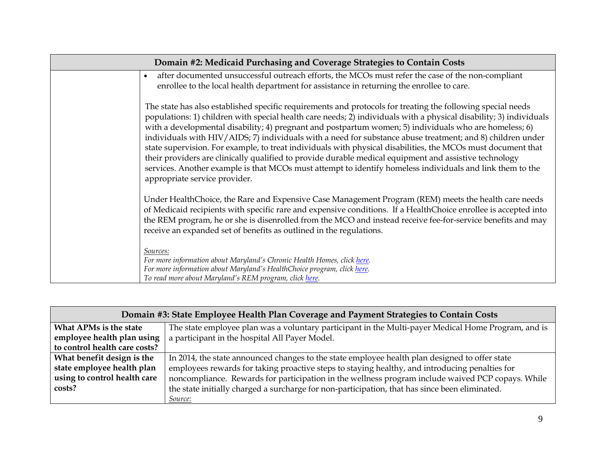| Domain #2: Medicaid Purchasing and Coverage Strategies to Contain Costs |                                                                                                                                                                                                                                                                                                                                                                                                                                                                                                                                                                                                                                                                                                                                                                                                                                   |  |
|-------------------------------------------------------------------------|-----------------------------------------------------------------------------------------------------------------------------------------------------------------------------------------------------------------------------------------------------------------------------------------------------------------------------------------------------------------------------------------------------------------------------------------------------------------------------------------------------------------------------------------------------------------------------------------------------------------------------------------------------------------------------------------------------------------------------------------------------------------------------------------------------------------------------------|--|
|                                                                         | after documented unsuccessful outreach efforts, the MCOs must refer the case of the non-compliant<br>$\bullet$<br>enrollee to the local health department for assistance in returning the enrollee to care.                                                                                                                                                                                                                                                                                                                                                                                                                                                                                                                                                                                                                       |  |
|                                                                         | The state has also established specific requirements and protocols for treating the following special needs<br>populations: 1) children with special health care needs; 2) individuals with a physical disability; 3) individuals<br>with a developmental disability; 4) pregnant and postpartum women; 5) individuals who are homeless; 6)<br>individuals with HIV/AIDS; 7) individuals with a need for substance abuse treatment; and 8) children under<br>state supervision. For example, to treat individuals with physical disabilities, the MCOs must document that<br>their providers are clinically qualified to provide durable medical equipment and assistive technology<br>services. Another example is that MCOs must attempt to identify homeless individuals and link them to the<br>appropriate service provider. |  |
|                                                                         | Under HealthChoice, the Rare and Expensive Case Management Program (REM) meets the health care needs<br>of Medicaid recipients with specific rare and expensive conditions. If a HealthChoice enrollee is accepted into<br>the REM program, he or she is disenrolled from the MCO and instead receive fee-for-service benefits and may<br>receive an expanded set of benefits as outlined in the regulations.                                                                                                                                                                                                                                                                                                                                                                                                                     |  |
|                                                                         | Sources:<br>For more information about Maryland's Chronic Health Homes, click here.<br>For more information about Maryland's HealthChoice program, click here.<br>To read more about Maryland's REM program, click here.                                                                                                                                                                                                                                                                                                                                                                                                                                                                                                                                                                                                          |  |

| Domain #3: State Employee Health Plan Coverage and Payment Strategies to Contain Costs |                                                                                                     |  |  |
|----------------------------------------------------------------------------------------|-----------------------------------------------------------------------------------------------------|--|--|
| What APMs is the state                                                                 | The state employee plan was a voluntary participant in the Multi-payer Medical Home Program, and is |  |  |
| employee health plan using                                                             | a participant in the hospital All Payer Model.                                                      |  |  |
| to control health care costs?                                                          |                                                                                                     |  |  |
| What benefit design is the                                                             | In 2014, the state announced changes to the state employee health plan designed to offer state      |  |  |
| state employee health plan                                                             | employees rewards for taking proactive steps to staying healthy, and introducing penalties for      |  |  |
| using to control health care                                                           | noncompliance. Rewards for participation in the wellness program include waived PCP copays. While   |  |  |
| costs?                                                                                 | the state initially charged a surcharge for non-participation, that has since been eliminated.      |  |  |
|                                                                                        | <i>Source:</i>                                                                                      |  |  |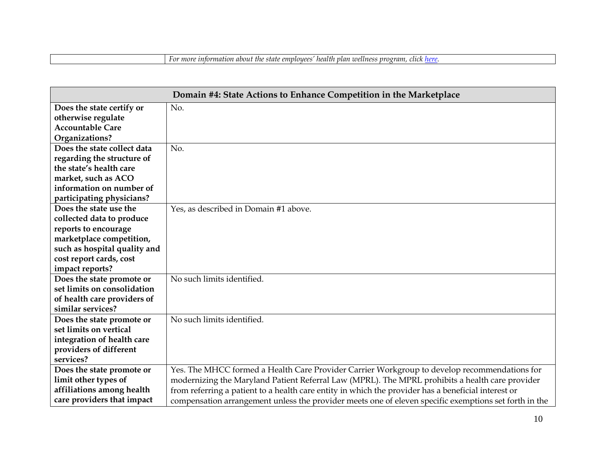|  | For more information about the state employees' health plan wellness program, click <u>here</u> . |  |
|--|---------------------------------------------------------------------------------------------------|--|
|  |                                                                                                   |  |

| Domain #4: State Actions to Enhance Competition in the Marketplace |                                                                                                       |  |
|--------------------------------------------------------------------|-------------------------------------------------------------------------------------------------------|--|
| Does the state certify or                                          | No.                                                                                                   |  |
| otherwise regulate                                                 |                                                                                                       |  |
| <b>Accountable Care</b>                                            |                                                                                                       |  |
| Organizations?                                                     |                                                                                                       |  |
| Does the state collect data                                        | No.                                                                                                   |  |
| regarding the structure of                                         |                                                                                                       |  |
| the state's health care                                            |                                                                                                       |  |
| market, such as ACO                                                |                                                                                                       |  |
| information on number of                                           |                                                                                                       |  |
| participating physicians?                                          |                                                                                                       |  |
| Does the state use the                                             | Yes, as described in Domain #1 above.                                                                 |  |
| collected data to produce                                          |                                                                                                       |  |
| reports to encourage                                               |                                                                                                       |  |
| marketplace competition,                                           |                                                                                                       |  |
| such as hospital quality and                                       |                                                                                                       |  |
| cost report cards, cost                                            |                                                                                                       |  |
| impact reports?                                                    |                                                                                                       |  |
| Does the state promote or                                          | No such limits identified.                                                                            |  |
| set limits on consolidation                                        |                                                                                                       |  |
| of health care providers of                                        |                                                                                                       |  |
| similar services?                                                  |                                                                                                       |  |
| Does the state promote or                                          | No such limits identified.                                                                            |  |
| set limits on vertical                                             |                                                                                                       |  |
| integration of health care                                         |                                                                                                       |  |
| providers of different                                             |                                                                                                       |  |
| services?                                                          |                                                                                                       |  |
| Does the state promote or                                          | Yes. The MHCC formed a Health Care Provider Carrier Workgroup to develop recommendations for          |  |
| limit other types of                                               | modernizing the Maryland Patient Referral Law (MPRL). The MPRL prohibits a health care provider       |  |
| affiliations among health                                          | from referring a patient to a health care entity in which the provider has a beneficial interest or   |  |
| care providers that impact                                         | compensation arrangement unless the provider meets one of eleven specific exemptions set forth in the |  |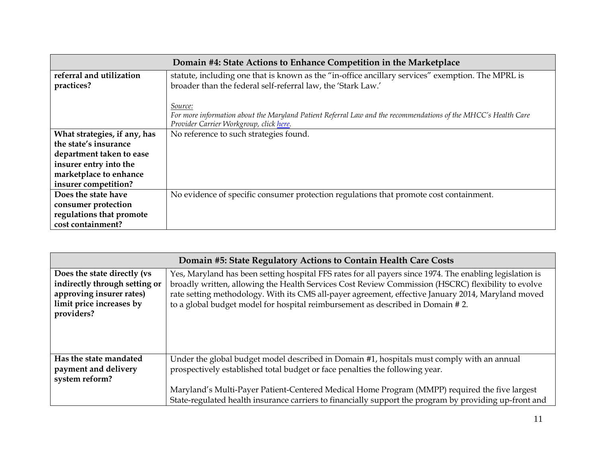| Domain #4: State Actions to Enhance Competition in the Marketplace                                                            |                                                                                                                                                           |  |  |
|-------------------------------------------------------------------------------------------------------------------------------|-----------------------------------------------------------------------------------------------------------------------------------------------------------|--|--|
| statute, including one that is known as the "in-office ancillary services" exemption. The MPRL is<br>referral and utilization |                                                                                                                                                           |  |  |
| practices?                                                                                                                    | broader than the federal self-referral law, the 'Stark Law.'                                                                                              |  |  |
|                                                                                                                               | Source:                                                                                                                                                   |  |  |
|                                                                                                                               | For more information about the Maryland Patient Referral Law and the recommendations of the MHCC's Health Care<br>Provider Carrier Workgroup, click here. |  |  |
| No reference to such strategies found.<br>What strategies, if any, has                                                        |                                                                                                                                                           |  |  |
| the state's insurance                                                                                                         |                                                                                                                                                           |  |  |
| department taken to ease                                                                                                      |                                                                                                                                                           |  |  |
|                                                                                                                               |                                                                                                                                                           |  |  |
| insurer entry into the                                                                                                        |                                                                                                                                                           |  |  |
| marketplace to enhance                                                                                                        |                                                                                                                                                           |  |  |
| insurer competition?                                                                                                          |                                                                                                                                                           |  |  |
| Does the state have                                                                                                           | No evidence of specific consumer protection regulations that promote cost containment.                                                                    |  |  |
| consumer protection                                                                                                           |                                                                                                                                                           |  |  |
| regulations that promote                                                                                                      |                                                                                                                                                           |  |  |
| cost containment?                                                                                                             |                                                                                                                                                           |  |  |

| Domain #5: State Regulatory Actions to Contain Health Care Costs                                                                   |                                                                                                                                                                                                                                                                                                                                                                                                        |  |
|------------------------------------------------------------------------------------------------------------------------------------|--------------------------------------------------------------------------------------------------------------------------------------------------------------------------------------------------------------------------------------------------------------------------------------------------------------------------------------------------------------------------------------------------------|--|
| Does the state directly (vs<br>indirectly through setting or<br>approving insurer rates)<br>limit price increases by<br>providers? | Yes, Maryland has been setting hospital FFS rates for all payers since 1974. The enabling legislation is<br>broadly written, allowing the Health Services Cost Review Commission (HSCRC) flexibility to evolve<br>rate setting methodology. With its CMS all-payer agreement, effective January 2014, Maryland moved<br>to a global budget model for hospital reimbursement as described in Domain #2. |  |
| Has the state mandated<br>payment and delivery<br>system reform?                                                                   | Under the global budget model described in Domain #1, hospitals must comply with an annual<br>prospectively established total budget or face penalties the following year.<br>Maryland's Multi-Payer Patient-Centered Medical Home Program (MMPP) required the five largest<br>State-regulated health insurance carriers to financially support the program by providing up-front and                  |  |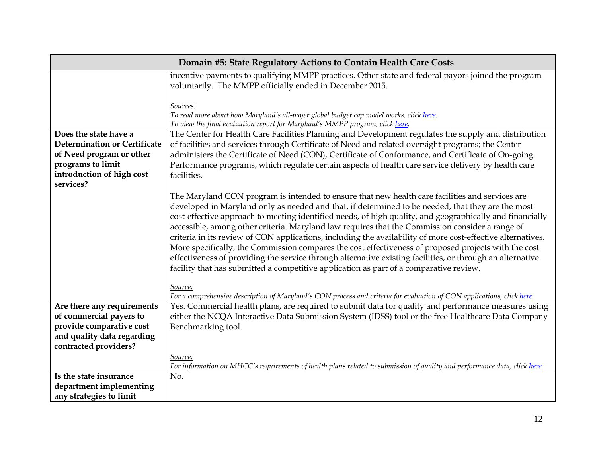| Domain #5: State Regulatory Actions to Contain Health Care Costs                                                         |                                                                                                                                                                                                                                                                                                                                                                                                                                                                                                                                                                                                                                                                                                                                                                                                                                                                                                                                                                                        |  |
|--------------------------------------------------------------------------------------------------------------------------|----------------------------------------------------------------------------------------------------------------------------------------------------------------------------------------------------------------------------------------------------------------------------------------------------------------------------------------------------------------------------------------------------------------------------------------------------------------------------------------------------------------------------------------------------------------------------------------------------------------------------------------------------------------------------------------------------------------------------------------------------------------------------------------------------------------------------------------------------------------------------------------------------------------------------------------------------------------------------------------|--|
|                                                                                                                          | incentive payments to qualifying MMPP practices. Other state and federal payors joined the program<br>voluntarily. The MMPP officially ended in December 2015.                                                                                                                                                                                                                                                                                                                                                                                                                                                                                                                                                                                                                                                                                                                                                                                                                         |  |
|                                                                                                                          | Sources:<br>To read more about how Maryland's all-payer global budget cap model works, click here.<br>To view the final evaluation report for Maryland's MMPP program, click here.                                                                                                                                                                                                                                                                                                                                                                                                                                                                                                                                                                                                                                                                                                                                                                                                     |  |
| Does the state have a                                                                                                    | The Center for Health Care Facilities Planning and Development regulates the supply and distribution                                                                                                                                                                                                                                                                                                                                                                                                                                                                                                                                                                                                                                                                                                                                                                                                                                                                                   |  |
| <b>Determination or Certificate</b>                                                                                      | of facilities and services through Certificate of Need and related oversight programs; the Center                                                                                                                                                                                                                                                                                                                                                                                                                                                                                                                                                                                                                                                                                                                                                                                                                                                                                      |  |
| of Need program or other                                                                                                 | administers the Certificate of Need (CON), Certificate of Conformance, and Certificate of On-going                                                                                                                                                                                                                                                                                                                                                                                                                                                                                                                                                                                                                                                                                                                                                                                                                                                                                     |  |
| programs to limit<br>Performance programs, which regulate certain aspects of health care service delivery by health care |                                                                                                                                                                                                                                                                                                                                                                                                                                                                                                                                                                                                                                                                                                                                                                                                                                                                                                                                                                                        |  |
| introduction of high cost                                                                                                | facilities.                                                                                                                                                                                                                                                                                                                                                                                                                                                                                                                                                                                                                                                                                                                                                                                                                                                                                                                                                                            |  |
| services?                                                                                                                |                                                                                                                                                                                                                                                                                                                                                                                                                                                                                                                                                                                                                                                                                                                                                                                                                                                                                                                                                                                        |  |
|                                                                                                                          | The Maryland CON program is intended to ensure that new health care facilities and services are<br>developed in Maryland only as needed and that, if determined to be needed, that they are the most<br>cost-effective approach to meeting identified needs, of high quality, and geographically and financially<br>accessible, among other criteria. Maryland law requires that the Commission consider a range of<br>criteria in its review of CON applications, including the availability of more cost-effective alternatives.<br>More specifically, the Commission compares the cost effectiveness of proposed projects with the cost<br>effectiveness of providing the service through alternative existing facilities, or through an alternative<br>facility that has submitted a competitive application as part of a comparative review.<br>Source:<br>For a comprehensive description of Maryland's CON process and criteria for evaluation of CON applications, click here. |  |
| Are there any requirements                                                                                               | Yes. Commercial health plans, are required to submit data for quality and performance measures using                                                                                                                                                                                                                                                                                                                                                                                                                                                                                                                                                                                                                                                                                                                                                                                                                                                                                   |  |
| of commercial payers to                                                                                                  | either the NCQA Interactive Data Submission System (IDSS) tool or the free Healthcare Data Company                                                                                                                                                                                                                                                                                                                                                                                                                                                                                                                                                                                                                                                                                                                                                                                                                                                                                     |  |
| provide comparative cost                                                                                                 | Benchmarking tool.                                                                                                                                                                                                                                                                                                                                                                                                                                                                                                                                                                                                                                                                                                                                                                                                                                                                                                                                                                     |  |
| and quality data regarding                                                                                               |                                                                                                                                                                                                                                                                                                                                                                                                                                                                                                                                                                                                                                                                                                                                                                                                                                                                                                                                                                                        |  |
| contracted providers?                                                                                                    |                                                                                                                                                                                                                                                                                                                                                                                                                                                                                                                                                                                                                                                                                                                                                                                                                                                                                                                                                                                        |  |
| Source:                                                                                                                  |                                                                                                                                                                                                                                                                                                                                                                                                                                                                                                                                                                                                                                                                                                                                                                                                                                                                                                                                                                                        |  |
|                                                                                                                          | For information on MHCC's requirements of health plans related to submission of quality and performance data, click here.                                                                                                                                                                                                                                                                                                                                                                                                                                                                                                                                                                                                                                                                                                                                                                                                                                                              |  |
| Is the state insurance                                                                                                   | No.                                                                                                                                                                                                                                                                                                                                                                                                                                                                                                                                                                                                                                                                                                                                                                                                                                                                                                                                                                                    |  |
| department implementing                                                                                                  |                                                                                                                                                                                                                                                                                                                                                                                                                                                                                                                                                                                                                                                                                                                                                                                                                                                                                                                                                                                        |  |
| any strategies to limit                                                                                                  |                                                                                                                                                                                                                                                                                                                                                                                                                                                                                                                                                                                                                                                                                                                                                                                                                                                                                                                                                                                        |  |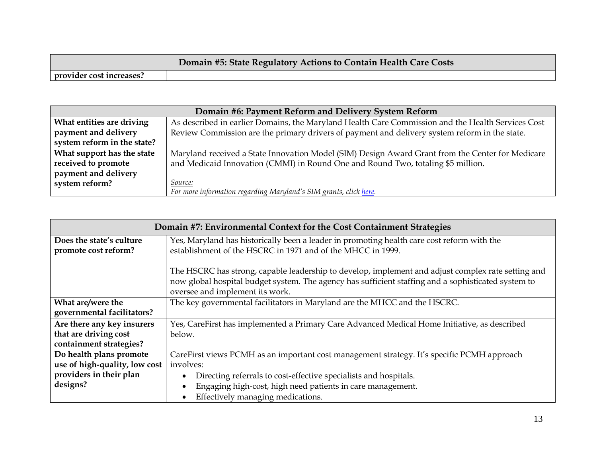|                          | Domain #5: State Regulatory Actions to Contain Health Care Costs |
|--------------------------|------------------------------------------------------------------|
| provider cost increases? |                                                                  |

| Domain #6: Payment Reform and Delivery System Reform |                                                                                                   |  |
|------------------------------------------------------|---------------------------------------------------------------------------------------------------|--|
| What entities are driving                            | As described in earlier Domains, the Maryland Health Care Commission and the Health Services Cost |  |
| payment and delivery                                 | Review Commission are the primary drivers of payment and delivery system reform in the state.     |  |
| system reform in the state?                          |                                                                                                   |  |
| What support has the state                           | Maryland received a State Innovation Model (SIM) Design Award Grant from the Center for Medicare  |  |
| received to promote                                  | and Medicaid Innovation (CMMI) in Round One and Round Two, totaling \$5 million.                  |  |
| payment and delivery                                 |                                                                                                   |  |
| system reform?                                       | Source:                                                                                           |  |
|                                                      | For more information regarding Maryland's SIM grants, click here.                                 |  |

| Domain #7: Environmental Context for the Cost Containment Strategies |                                                                                                     |  |  |  |
|----------------------------------------------------------------------|-----------------------------------------------------------------------------------------------------|--|--|--|
| Does the state's culture                                             | Yes, Maryland has historically been a leader in promoting health care cost reform with the          |  |  |  |
| promote cost reform?                                                 | establishment of the HSCRC in 1971 and of the MHCC in 1999.                                         |  |  |  |
|                                                                      |                                                                                                     |  |  |  |
|                                                                      | The HSCRC has strong, capable leadership to develop, implement and adjust complex rate setting and  |  |  |  |
|                                                                      | now global hospital budget system. The agency has sufficient staffing and a sophisticated system to |  |  |  |
|                                                                      | oversee and implement its work.                                                                     |  |  |  |
| What are/were the                                                    | The key governmental facilitators in Maryland are the MHCC and the HSCRC.                           |  |  |  |
| governmental facilitators?                                           |                                                                                                     |  |  |  |
| Are there any key insurers                                           | Yes, CareFirst has implemented a Primary Care Advanced Medical Home Initiative, as described        |  |  |  |
| that are driving cost                                                | below.                                                                                              |  |  |  |
| containment strategies?                                              |                                                                                                     |  |  |  |
| Do health plans promote                                              | CareFirst views PCMH as an important cost management strategy. It's specific PCMH approach          |  |  |  |
| use of high-quality, low cost                                        | involves:                                                                                           |  |  |  |
| providers in their plan                                              | Directing referrals to cost-effective specialists and hospitals.                                    |  |  |  |
| designs?                                                             | Engaging high-cost, high need patients in care management.                                          |  |  |  |
|                                                                      | Effectively managing medications.                                                                   |  |  |  |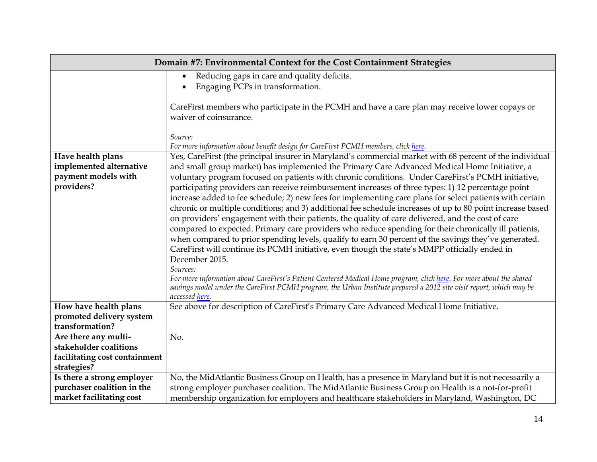| Domain #7: Environmental Context for the Cost Containment Strategies                                                                           |                                                                                                                                                                                                                                                                                                                                                                                                                                                                                                                                                                                                                                                                                                                                                                                                                                                                                                                                                                                                                                                                                                                                                      |  |  |
|------------------------------------------------------------------------------------------------------------------------------------------------|------------------------------------------------------------------------------------------------------------------------------------------------------------------------------------------------------------------------------------------------------------------------------------------------------------------------------------------------------------------------------------------------------------------------------------------------------------------------------------------------------------------------------------------------------------------------------------------------------------------------------------------------------------------------------------------------------------------------------------------------------------------------------------------------------------------------------------------------------------------------------------------------------------------------------------------------------------------------------------------------------------------------------------------------------------------------------------------------------------------------------------------------------|--|--|
|                                                                                                                                                | Reducing gaps in care and quality deficits.<br>$\bullet$<br>Engaging PCPs in transformation.                                                                                                                                                                                                                                                                                                                                                                                                                                                                                                                                                                                                                                                                                                                                                                                                                                                                                                                                                                                                                                                         |  |  |
|                                                                                                                                                | CareFirst members who participate in the PCMH and have a care plan may receive lower copays or<br>waiver of coinsurance.                                                                                                                                                                                                                                                                                                                                                                                                                                                                                                                                                                                                                                                                                                                                                                                                                                                                                                                                                                                                                             |  |  |
|                                                                                                                                                | Source:<br>For more information about benefit design for CareFirst PCMH members, click here.                                                                                                                                                                                                                                                                                                                                                                                                                                                                                                                                                                                                                                                                                                                                                                                                                                                                                                                                                                                                                                                         |  |  |
| Yes, CareFirst (the principal insurer in Maryland's commercial market with 68 percent of the individual<br>Have health plans                   |                                                                                                                                                                                                                                                                                                                                                                                                                                                                                                                                                                                                                                                                                                                                                                                                                                                                                                                                                                                                                                                                                                                                                      |  |  |
| implemented alternative<br>and small group market) has implemented the Primary Care Advanced Medical Home Initiative, a<br>payment models with |                                                                                                                                                                                                                                                                                                                                                                                                                                                                                                                                                                                                                                                                                                                                                                                                                                                                                                                                                                                                                                                                                                                                                      |  |  |
| providers?                                                                                                                                     | voluntary program focused on patients with chronic conditions. Under CareFirst's PCMH initiative,<br>participating providers can receive reimbursement increases of three types: 1) 12 percentage point<br>increase added to fee schedule; 2) new fees for implementing care plans for select patients with certain<br>chronic or multiple conditions; and 3) additional fee schedule increases of up to 80 point increase based<br>on providers' engagement with their patients, the quality of care delivered, and the cost of care<br>compared to expected. Primary care providers who reduce spending for their chronically ill patients,<br>when compared to prior spending levels, qualify to earn 30 percent of the savings they've generated.<br>CareFirst will continue its PCMH initiative, even though the state's MMPP officially ended in<br>December 2015.<br>Sources:<br>For more information about CareFirst's Patient Centered Medical Home program, click here. For more about the shared<br>savings model under the CareFirst PCMH program, the Urban Institute prepared a 2012 site visit report, which may be<br>accessed here. |  |  |
| How have health plans                                                                                                                          | See above for description of CareFirst's Primary Care Advanced Medical Home Initiative.                                                                                                                                                                                                                                                                                                                                                                                                                                                                                                                                                                                                                                                                                                                                                                                                                                                                                                                                                                                                                                                              |  |  |
| promoted delivery system                                                                                                                       |                                                                                                                                                                                                                                                                                                                                                                                                                                                                                                                                                                                                                                                                                                                                                                                                                                                                                                                                                                                                                                                                                                                                                      |  |  |
| transformation?                                                                                                                                |                                                                                                                                                                                                                                                                                                                                                                                                                                                                                                                                                                                                                                                                                                                                                                                                                                                                                                                                                                                                                                                                                                                                                      |  |  |
| Are there any multi-                                                                                                                           | No.                                                                                                                                                                                                                                                                                                                                                                                                                                                                                                                                                                                                                                                                                                                                                                                                                                                                                                                                                                                                                                                                                                                                                  |  |  |
| stakeholder coalitions                                                                                                                         |                                                                                                                                                                                                                                                                                                                                                                                                                                                                                                                                                                                                                                                                                                                                                                                                                                                                                                                                                                                                                                                                                                                                                      |  |  |
| facilitating cost containment<br>strategies?                                                                                                   |                                                                                                                                                                                                                                                                                                                                                                                                                                                                                                                                                                                                                                                                                                                                                                                                                                                                                                                                                                                                                                                                                                                                                      |  |  |
| Is there a strong employer                                                                                                                     | No, the MidAtlantic Business Group on Health, has a presence in Maryland but it is not necessarily a                                                                                                                                                                                                                                                                                                                                                                                                                                                                                                                                                                                                                                                                                                                                                                                                                                                                                                                                                                                                                                                 |  |  |
| purchaser coalition in the                                                                                                                     | strong employer purchaser coalition. The MidAtlantic Business Group on Health is a not-for-profit                                                                                                                                                                                                                                                                                                                                                                                                                                                                                                                                                                                                                                                                                                                                                                                                                                                                                                                                                                                                                                                    |  |  |
| market facilitating cost                                                                                                                       | membership organization for employers and healthcare stakeholders in Maryland, Washington, DC                                                                                                                                                                                                                                                                                                                                                                                                                                                                                                                                                                                                                                                                                                                                                                                                                                                                                                                                                                                                                                                        |  |  |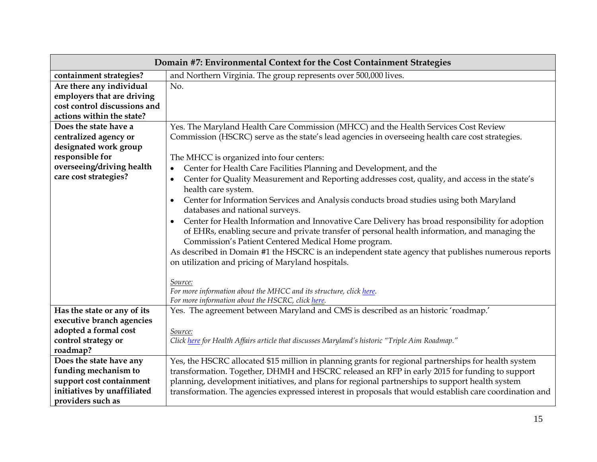| Domain #7: Environmental Context for the Cost Containment Strategies                                                  |                                                                                                                                                                                                                                                           |  |
|-----------------------------------------------------------------------------------------------------------------------|-----------------------------------------------------------------------------------------------------------------------------------------------------------------------------------------------------------------------------------------------------------|--|
| containment strategies?                                                                                               | and Northern Virginia. The group represents over 500,000 lives.                                                                                                                                                                                           |  |
| Are there any individual                                                                                              | No.                                                                                                                                                                                                                                                       |  |
| employers that are driving                                                                                            |                                                                                                                                                                                                                                                           |  |
| cost control discussions and                                                                                          |                                                                                                                                                                                                                                                           |  |
| actions within the state?                                                                                             |                                                                                                                                                                                                                                                           |  |
| Does the state have a                                                                                                 | Yes. The Maryland Health Care Commission (MHCC) and the Health Services Cost Review                                                                                                                                                                       |  |
| centralized agency or                                                                                                 | Commission (HSCRC) serve as the state's lead agencies in overseeing health care cost strategies.                                                                                                                                                          |  |
| designated work group                                                                                                 |                                                                                                                                                                                                                                                           |  |
| responsible for<br>The MHCC is organized into four centers:                                                           |                                                                                                                                                                                                                                                           |  |
| overseeing/driving health<br>Center for Health Care Facilities Planning and Development, and the                      |                                                                                                                                                                                                                                                           |  |
| care cost strategies?                                                                                                 | Center for Quality Measurement and Reporting addresses cost, quality, and access in the state's<br>$\bullet$<br>health care system.                                                                                                                       |  |
|                                                                                                                       | Center for Information Services and Analysis conducts broad studies using both Maryland<br>databases and national surveys.                                                                                                                                |  |
|                                                                                                                       | Center for Health Information and Innovative Care Delivery has broad responsibility for adoption<br>of EHRs, enabling secure and private transfer of personal health information, and managing the<br>Commission's Patient Centered Medical Home program. |  |
|                                                                                                                       | As described in Domain #1 the HSCRC is an independent state agency that publishes numerous reports<br>on utilization and pricing of Maryland hospitals.                                                                                                   |  |
|                                                                                                                       | Source:<br>For more information about the MHCC and its structure, click here.<br>For more information about the HSCRC, click here.                                                                                                                        |  |
| Has the state or any of its                                                                                           | Yes. The agreement between Maryland and CMS is described as an historic 'roadmap.'                                                                                                                                                                        |  |
| executive branch agencies                                                                                             |                                                                                                                                                                                                                                                           |  |
| adopted a formal cost                                                                                                 | Source:                                                                                                                                                                                                                                                   |  |
| control strategy or                                                                                                   | Click here for Health Affairs article that discusses Maryland's historic "Triple Aim Roadmap."                                                                                                                                                            |  |
| roadmap?                                                                                                              |                                                                                                                                                                                                                                                           |  |
| Does the state have any                                                                                               | Yes, the HSCRC allocated \$15 million in planning grants for regional partnerships for health system                                                                                                                                                      |  |
| funding mechanism to<br>transformation. Together, DHMH and HSCRC released an RFP in early 2015 for funding to support |                                                                                                                                                                                                                                                           |  |
| support cost containment                                                                                              | planning, development initiatives, and plans for regional partnerships to support health system                                                                                                                                                           |  |
| initiatives by unaffiliated                                                                                           | transformation. The agencies expressed interest in proposals that would establish care coordination and                                                                                                                                                   |  |
| providers such as                                                                                                     |                                                                                                                                                                                                                                                           |  |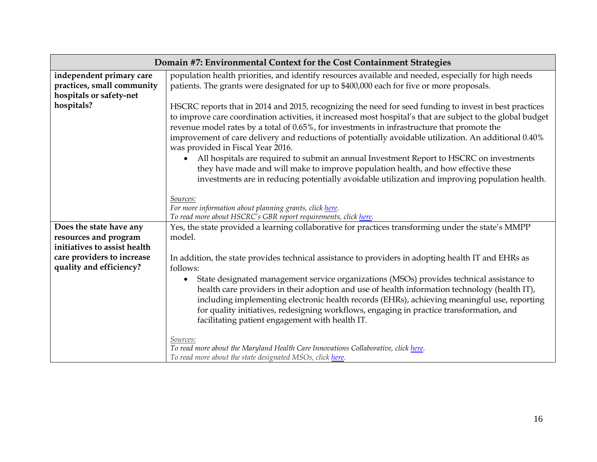| Domain #7: Environmental Context for the Cost Containment Strategies                                                                                                                             |                                                                                                                                                                                                                                                                                                                                                                                                                                                                                                                                                                |  |  |
|--------------------------------------------------------------------------------------------------------------------------------------------------------------------------------------------------|----------------------------------------------------------------------------------------------------------------------------------------------------------------------------------------------------------------------------------------------------------------------------------------------------------------------------------------------------------------------------------------------------------------------------------------------------------------------------------------------------------------------------------------------------------------|--|--|
| independent primary care                                                                                                                                                                         | population health priorities, and identify resources available and needed, especially for high needs                                                                                                                                                                                                                                                                                                                                                                                                                                                           |  |  |
| practices, small community                                                                                                                                                                       | patients. The grants were designated for up to \$400,000 each for five or more proposals.                                                                                                                                                                                                                                                                                                                                                                                                                                                                      |  |  |
| hospitals or safety-net<br>hospitals?                                                                                                                                                            | HSCRC reports that in 2014 and 2015, recognizing the need for seed funding to invest in best practices<br>to improve care coordination activities, it increased most hospital's that are subject to the global budget<br>revenue model rates by a total of 0.65%, for investments in infrastructure that promote the<br>improvement of care delivery and reductions of potentially avoidable utilization. An additional 0.40%<br>was provided in Fiscal Year 2016.<br>All hospitals are required to submit an annual Investment Report to HSCRC on investments |  |  |
|                                                                                                                                                                                                  | they have made and will make to improve population health, and how effective these<br>investments are in reducing potentially avoidable utilization and improving population health.                                                                                                                                                                                                                                                                                                                                                                           |  |  |
|                                                                                                                                                                                                  | Sources:                                                                                                                                                                                                                                                                                                                                                                                                                                                                                                                                                       |  |  |
|                                                                                                                                                                                                  | For more information about planning grants, click here.                                                                                                                                                                                                                                                                                                                                                                                                                                                                                                        |  |  |
| To read more about HSCRC's GBR report requirements, click here.<br>Yes, the state provided a learning collaborative for practices transforming under the state's MMPP<br>Does the state have any |                                                                                                                                                                                                                                                                                                                                                                                                                                                                                                                                                                |  |  |
| resources and program                                                                                                                                                                            | model.                                                                                                                                                                                                                                                                                                                                                                                                                                                                                                                                                         |  |  |
| initiatives to assist health                                                                                                                                                                     |                                                                                                                                                                                                                                                                                                                                                                                                                                                                                                                                                                |  |  |
| care providers to increase                                                                                                                                                                       | In addition, the state provides technical assistance to providers in adopting health IT and EHRs as                                                                                                                                                                                                                                                                                                                                                                                                                                                            |  |  |
| quality and efficiency?                                                                                                                                                                          | follows:                                                                                                                                                                                                                                                                                                                                                                                                                                                                                                                                                       |  |  |
|                                                                                                                                                                                                  | State designated management service organizations (MSOs) provides technical assistance to<br>health care providers in their adoption and use of health information technology (health IT),<br>including implementing electronic health records (EHRs), achieving meaningful use, reporting<br>for quality initiatives, redesigning workflows, engaging in practice transformation, and<br>facilitating patient engagement with health IT.                                                                                                                      |  |  |
|                                                                                                                                                                                                  | Sources:<br>To read more about the Maryland Health Care Innovations Collaborative, click here.<br>To read more about the state designated MSOs, click here.                                                                                                                                                                                                                                                                                                                                                                                                    |  |  |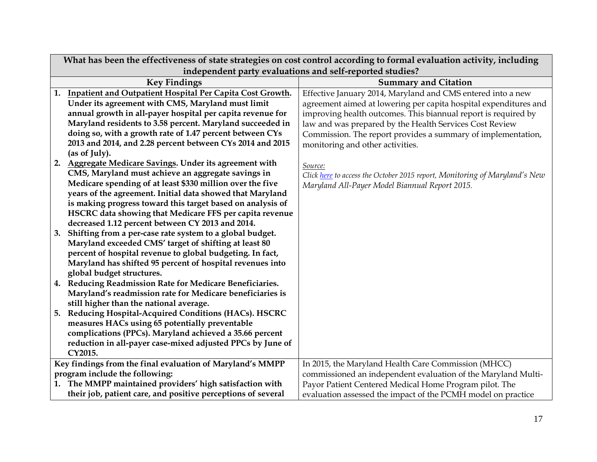|                                                           | What has been the effectiveness of state strategies on cost control according to formal evaluation activity, including |                                                                            |  |
|-----------------------------------------------------------|------------------------------------------------------------------------------------------------------------------------|----------------------------------------------------------------------------|--|
| independent party evaluations and self-reported studies?  |                                                                                                                        |                                                                            |  |
|                                                           | <b>Key Findings</b>                                                                                                    | <b>Summary and Citation</b>                                                |  |
|                                                           | 1. Inpatient and Outpatient Hospital Per Capita Cost Growth.                                                           | Effective January 2014, Maryland and CMS entered into a new                |  |
|                                                           | Under its agreement with CMS, Maryland must limit                                                                      | agreement aimed at lowering per capita hospital expenditures and           |  |
|                                                           | annual growth in all-payer hospital per capita revenue for                                                             | improving health outcomes. This biannual report is required by             |  |
|                                                           | Maryland residents to 3.58 percent. Maryland succeeded in                                                              | law and was prepared by the Health Services Cost Review                    |  |
|                                                           | doing so, with a growth rate of 1.47 percent between CYs                                                               | Commission. The report provides a summary of implementation,               |  |
|                                                           | 2013 and 2014, and 2.28 percent between CYs 2014 and 2015                                                              | monitoring and other activities.                                           |  |
|                                                           | (as of July).                                                                                                          |                                                                            |  |
| 2.                                                        | Aggregate Medicare Savings. Under its agreement with                                                                   | Source:                                                                    |  |
|                                                           | CMS, Maryland must achieve an aggregate savings in                                                                     | Click here to access the October 2015 report, Monitoring of Maryland's New |  |
|                                                           | Medicare spending of at least \$330 million over the five                                                              | Maryland All-Payer Model Biannual Report 2015.                             |  |
|                                                           | years of the agreement. Initial data showed that Maryland                                                              |                                                                            |  |
|                                                           | is making progress toward this target based on analysis of                                                             |                                                                            |  |
|                                                           | HSCRC data showing that Medicare FFS per capita revenue                                                                |                                                                            |  |
|                                                           | decreased 1.12 percent between CY 2013 and 2014.                                                                       |                                                                            |  |
| 3.                                                        | Shifting from a per-case rate system to a global budget.                                                               |                                                                            |  |
|                                                           | Maryland exceeded CMS' target of shifting at least 80                                                                  |                                                                            |  |
|                                                           | percent of hospital revenue to global budgeting. In fact,                                                              |                                                                            |  |
|                                                           | Maryland has shifted 95 percent of hospital revenues into                                                              |                                                                            |  |
|                                                           | global budget structures.                                                                                              |                                                                            |  |
| 4.                                                        | Reducing Readmission Rate for Medicare Beneficiaries.                                                                  |                                                                            |  |
|                                                           | Maryland's readmission rate for Medicare beneficiaries is                                                              |                                                                            |  |
|                                                           | still higher than the national average.                                                                                |                                                                            |  |
| 5.                                                        | Reducing Hospital-Acquired Conditions (HACs). HSCRC                                                                    |                                                                            |  |
|                                                           | measures HACs using 65 potentially preventable                                                                         |                                                                            |  |
|                                                           | complications (PPCs). Maryland achieved a 35.66 percent                                                                |                                                                            |  |
|                                                           | reduction in all-payer case-mixed adjusted PPCs by June of                                                             |                                                                            |  |
|                                                           | CY2015.                                                                                                                |                                                                            |  |
| Key findings from the final evaluation of Maryland's MMPP |                                                                                                                        | In 2015, the Maryland Health Care Commission (MHCC)                        |  |
|                                                           | program include the following:                                                                                         | commissioned an independent evaluation of the Maryland Multi-              |  |
|                                                           | 1. The MMPP maintained providers' high satisfaction with                                                               | Payor Patient Centered Medical Home Program pilot. The                     |  |
|                                                           | their job, patient care, and positive perceptions of several                                                           | evaluation assessed the impact of the PCMH model on practice               |  |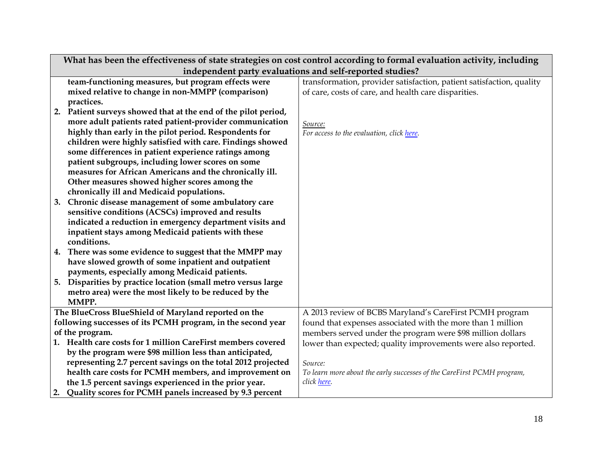|                                                             | What has been the effectiveness of state strategies on cost control according to formal evaluation activity, including |                                                                        |  |  |
|-------------------------------------------------------------|------------------------------------------------------------------------------------------------------------------------|------------------------------------------------------------------------|--|--|
|                                                             | independent party evaluations and self-reported studies?                                                               |                                                                        |  |  |
|                                                             | team-functioning measures, but program effects were                                                                    | transformation, provider satisfaction, patient satisfaction, quality   |  |  |
|                                                             | mixed relative to change in non-MMPP (comparison)                                                                      | of care, costs of care, and health care disparities.                   |  |  |
|                                                             | practices.                                                                                                             |                                                                        |  |  |
| 2.                                                          | Patient surveys showed that at the end of the pilot period,                                                            |                                                                        |  |  |
|                                                             | more adult patients rated patient-provider communication                                                               | Source:                                                                |  |  |
|                                                             | highly than early in the pilot period. Respondents for                                                                 | For access to the evaluation, click here.                              |  |  |
|                                                             | children were highly satisfied with care. Findings showed                                                              |                                                                        |  |  |
|                                                             | some differences in patient experience ratings among                                                                   |                                                                        |  |  |
|                                                             | patient subgroups, including lower scores on some                                                                      |                                                                        |  |  |
|                                                             | measures for African Americans and the chronically ill.                                                                |                                                                        |  |  |
|                                                             | Other measures showed higher scores among the                                                                          |                                                                        |  |  |
|                                                             | chronically ill and Medicaid populations.                                                                              |                                                                        |  |  |
| 3.                                                          | Chronic disease management of some ambulatory care                                                                     |                                                                        |  |  |
|                                                             | sensitive conditions (ACSCs) improved and results                                                                      |                                                                        |  |  |
|                                                             | indicated a reduction in emergency department visits and                                                               |                                                                        |  |  |
|                                                             | inpatient stays among Medicaid patients with these                                                                     |                                                                        |  |  |
|                                                             | conditions.                                                                                                            |                                                                        |  |  |
|                                                             | 4. There was some evidence to suggest that the MMPP may                                                                |                                                                        |  |  |
|                                                             | have slowed growth of some inpatient and outpatient                                                                    |                                                                        |  |  |
|                                                             | payments, especially among Medicaid patients.                                                                          |                                                                        |  |  |
|                                                             | 5. Disparities by practice location (small metro versus large                                                          |                                                                        |  |  |
|                                                             | metro area) were the most likely to be reduced by the                                                                  |                                                                        |  |  |
|                                                             | MMPP.                                                                                                                  |                                                                        |  |  |
| The BlueCross BlueShield of Maryland reported on the        |                                                                                                                        | A 2013 review of BCBS Maryland's CareFirst PCMH program                |  |  |
| following successes of its PCMH program, in the second year |                                                                                                                        | found that expenses associated with the more than 1 million            |  |  |
| of the program.                                             |                                                                                                                        | members served under the program were \$98 million dollars             |  |  |
|                                                             | 1. Health care costs for 1 million CareFirst members covered                                                           | lower than expected; quality improvements were also reported.          |  |  |
|                                                             | by the program were \$98 million less than anticipated,                                                                |                                                                        |  |  |
|                                                             | representing 2.7 percent savings on the total 2012 projected                                                           | Source:                                                                |  |  |
|                                                             | health care costs for PCMH members, and improvement on                                                                 | To learn more about the early successes of the CareFirst PCMH program, |  |  |
|                                                             | the 1.5 percent savings experienced in the prior year.                                                                 | click here.                                                            |  |  |
|                                                             | 2. Quality scores for PCMH panels increased by 9.3 percent                                                             |                                                                        |  |  |